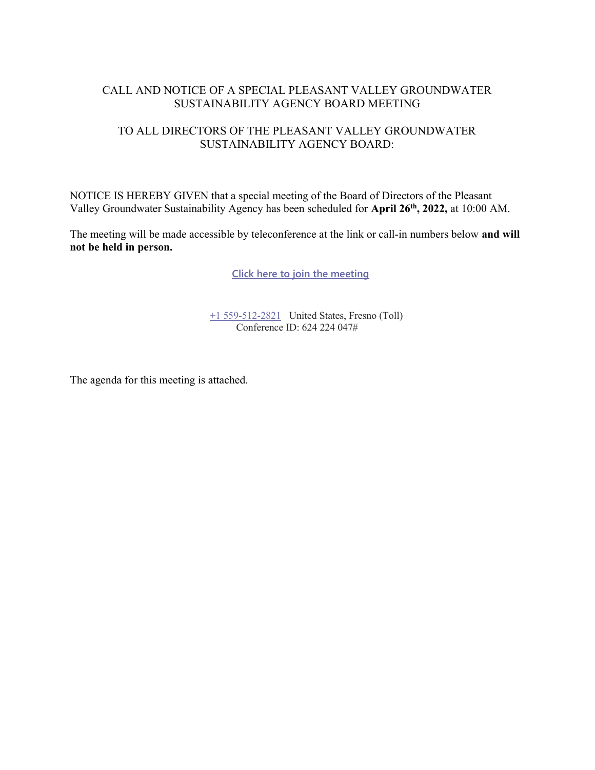#### CALL AND NOTICE OF A SPECIAL PLEASANT VALLEY GROUNDWATER SUSTAINABILITY AGENCY BOARD MEETING

## TO ALL DIRECTORS OF THE PLEASANT VALLEY GROUNDWATER SUSTAINABILITY AGENCY BOARD:

NOTICE IS HEREBY GIVEN that a special meeting of the Board of Directors of the Pleasant Valley Groundwater Sustainability Agency has been scheduled for April 26th, 2022, at 10:00 AM.

The meeting will be made accessible by teleconference at the link or call-in numbers below and will not be held in person.

Click here to join the meeting

+1 559-512-2821 United States, Fresno (Toll) Conference ID: 624 224 047#

The agenda for this meeting is attached.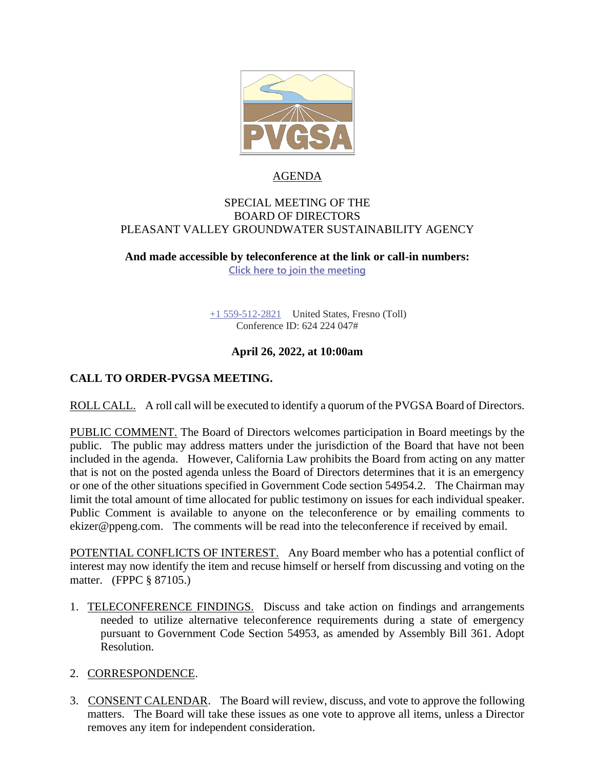

## AGENDA

#### SPECIAL MEETING OF THE BOARD OF DIRECTORS PLEASANT VALLEY GROUNDWATER SUSTAINABILITY AGENCY

**And made accessible by teleconference at the link or call-in numbers:**

**[Click here to join the meeting](https://teams.microsoft.com/l/meetup-join/19%3ameeting_YzE4MGEyYjEtM2ZhZS00OGRmLTg2ZjAtODg5MmI2Nzg5ODMx%40thread.v2/0?context=%7b%22Tid%22%3a%22a6cf659f-2360-4ff9-9e8d-045f48434ada%22%2c%22Oid%22%3a%225aeb912a-1b48-4d0b-94f5-be7893f4a09c%22%7d)**

[+1 559-512-2821](tel:+15595122821,,85232084# ) United States, Fresno (Toll) Conference ID: 624 224 047#

## **April 26, 2022, at 10:00am**

## **CALL TO ORDER-PVGSA MEETING.**

ROLL CALL. A roll call will be executed to identify a quorum of the PVGSA Board of Directors.

PUBLIC COMMENT. The Board of Directors welcomes participation in Board meetings by the public. The public may address matters under the jurisdiction of the Board that have not been included in the agenda. However, California Law prohibits the Board from acting on any matter that is not on the posted agenda unless the Board of Directors determines that it is an emergency or one of the other situations specified in Government Code section 54954.2. The Chairman may limit the total amount of time allocated for public testimony on issues for each individual speaker. Public Comment is available to anyone on the teleconference or by emailing comments to ekizer@ppeng.com. The comments will be read into the teleconference if received by email.

POTENTIAL CONFLICTS OF INTEREST. Any Board member who has a potential conflict of interest may now identify the item and recuse himself or herself from discussing and voting on the matter. (FPPC § 87105.)

1. TELECONFERENCE FINDINGS. Discuss and take action on findings and arrangements needed to utilize alternative teleconference requirements during a state of emergency pursuant to Government Code Section 54953, as amended by Assembly Bill 361. Adopt Resolution.

#### 2. CORRESPONDENCE.

3. CONSENT CALENDAR. The Board will review, discuss, and vote to approve the following matters. The Board will take these issues as one vote to approve all items, unless a Director removes any item for independent consideration.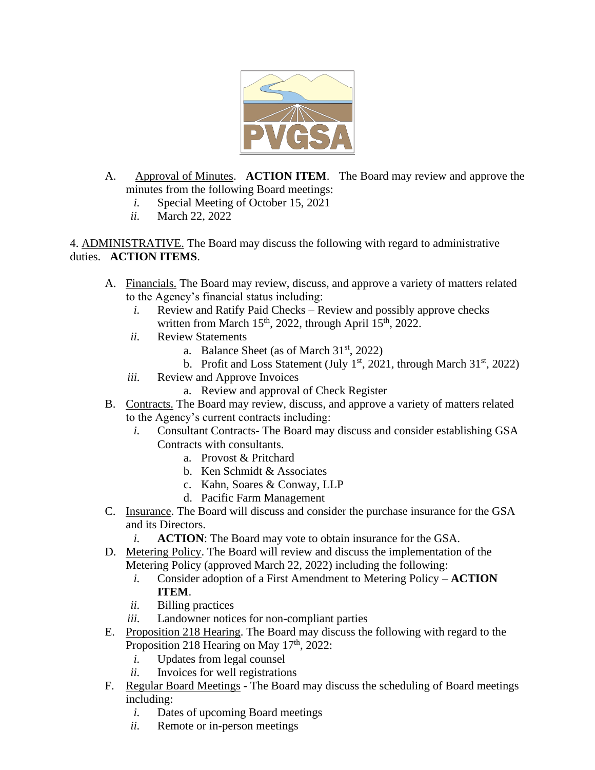

- A. Approval of Minutes. **ACTION ITEM**. The Board may review and approve the minutes from the following Board meetings:
	- *i.* Special Meeting of October 15, 2021
	- *ii.* March 22, 2022

4. ADMINISTRATIVE. The Board may discuss the following with regard to administrative duties. **ACTION ITEMS**.

- A. Financials. The Board may review, discuss, and approve a variety of matters related to the Agency's financial status including:
	- *i.* Review and Ratify Paid Checks Review and possibly approve checks written from March  $15<sup>th</sup>$ , 2022, through April  $15<sup>th</sup>$ , 2022.
	- *ii.* Review Statements
		- a. Balance Sheet (as of March  $31<sup>st</sup>$ , 2022)
		- b. Profit and Loss Statement (July  $1<sup>st</sup>$ , 2021, through March  $31<sup>st</sup>$ , 2022)
	- *iii.* Review and Approve Invoices
		- a. Review and approval of Check Register
- B. Contracts. The Board may review, discuss, and approve a variety of matters related to the Agency's current contracts including:
	- *i.* Consultant Contracts- The Board may discuss and consider establishing GSA Contracts with consultants.
		- a. Provost & Pritchard
		- b. Ken Schmidt & Associates
		- c. Kahn, Soares & Conway, LLP
		- d. Pacific Farm Management
- C. Insurance. The Board will discuss and consider the purchase insurance for the GSA and its Directors.
	- *i.* **ACTION**: The Board may vote to obtain insurance for the GSA.
- D. Metering Policy. The Board will review and discuss the implementation of the Metering Policy (approved March 22, 2022) including the following:
	- *i.* Consider adoption of a First Amendment to Metering Policy **ACTION ITEM**.
	- *ii.* Billing practices
	- *iii.* Landowner notices for non-compliant parties
- E. Proposition 218 Hearing. The Board may discuss the following with regard to the Proposition 218 Hearing on May  $17<sup>th</sup>$ , 2022:
	- *i.* Updates from legal counsel
	- *ii.* Invoices for well registrations
- F. Regular Board Meetings The Board may discuss the scheduling of Board meetings including:
	- *i.* Dates of upcoming Board meetings
	- *ii.* Remote or in-person meetings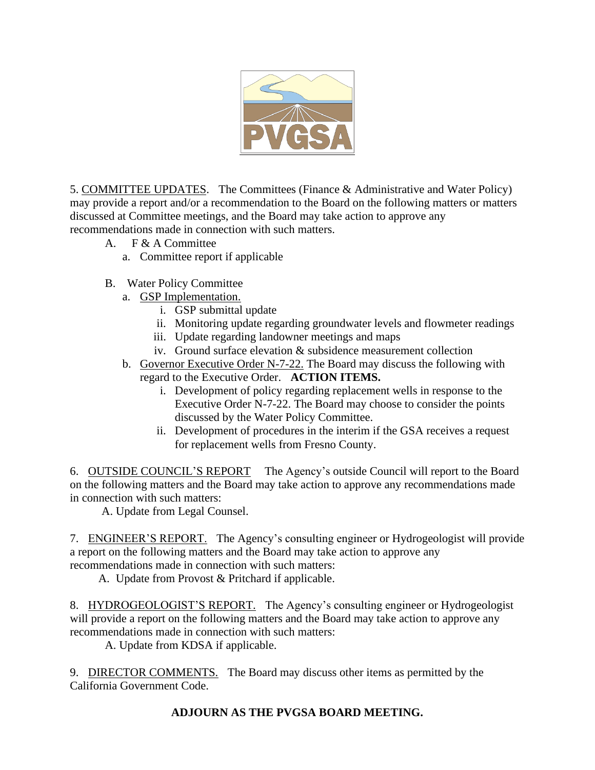

5. COMMITTEE UPDATES. The Committees (Finance & Administrative and Water Policy) may provide a report and/or a recommendation to the Board on the following matters or matters discussed at Committee meetings, and the Board may take action to approve any recommendations made in connection with such matters.

- A. F & A Committee
	- a. Committee report if applicable
- B. Water Policy Committee
	- a. GSP Implementation.
		- i. GSP submittal update
		- ii. Monitoring update regarding groundwater levels and flowmeter readings
		- iii. Update regarding landowner meetings and maps
		- iv. Ground surface elevation & subsidence measurement collection
	- b. Governor Executive Order N-7-22. The Board may discuss the following with regard to the Executive Order. **ACTION ITEMS.**
		- i. Development of policy regarding replacement wells in response to the Executive Order N-7-22. The Board may choose to consider the points discussed by the Water Policy Committee.
		- ii. Development of procedures in the interim if the GSA receives a request for replacement wells from Fresno County.

6. OUTSIDE COUNCIL'S REPORT The Agency's outside Council will report to the Board on the following matters and the Board may take action to approve any recommendations made in connection with such matters:

A. Update from Legal Counsel.

7. ENGINEER'S REPORT. The Agency's consulting engineer or Hydrogeologist will provide a report on the following matters and the Board may take action to approve any recommendations made in connection with such matters:

A. Update from Provost & Pritchard if applicable.

8. HYDROGEOLOGIST'S REPORT. The Agency's consulting engineer or Hydrogeologist will provide a report on the following matters and the Board may take action to approve any recommendations made in connection with such matters:

A. Update from KDSA if applicable.

9. DIRECTOR COMMENTS. The Board may discuss other items as permitted by the California Government Code.

# **ADJOURN AS THE PVGSA BOARD MEETING.**